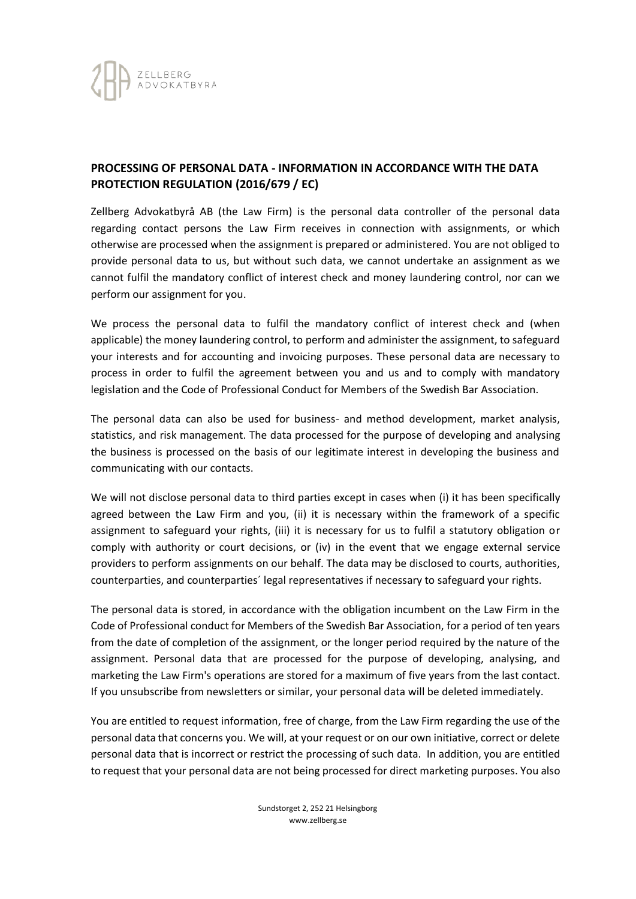

## **PROCESSING OF PERSONAL DATA - INFORMATION IN ACCORDANCE WITH THE DATA PROTECTION REGULATION (2016/679 / EC)**

Zellberg Advokatbyrå AB (the Law Firm) is the personal data controller of the personal data regarding contact persons the Law Firm receives in connection with assignments, or which otherwise are processed when the assignment is prepared or administered. You are not obliged to provide personal data to us, but without such data, we cannot undertake an assignment as we cannot fulfil the mandatory conflict of interest check and money laundering control, nor can we perform our assignment for you.

We process the personal data to fulfil the mandatory conflict of interest check and (when applicable) the money laundering control, to perform and administer the assignment, to safeguard your interests and for accounting and invoicing purposes. These personal data are necessary to process in order to fulfil the agreement between you and us and to comply with mandatory legislation and the Code of Professional Conduct for Members of the Swedish Bar Association.

The personal data can also be used for business- and method development, market analysis, statistics, and risk management. The data processed for the purpose of developing and analysing the business is processed on the basis of our legitimate interest in developing the business and communicating with our contacts.

We will not disclose personal data to third parties except in cases when (i) it has been specifically agreed between the Law Firm and you, (ii) it is necessary within the framework of a specific assignment to safeguard your rights, (iii) it is necessary for us to fulfil a statutory obligation or comply with authority or court decisions, or (iv) in the event that we engage external service providers to perform assignments on our behalf. The data may be disclosed to courts, authorities, counterparties, and counterparties´ legal representatives if necessary to safeguard your rights.

The personal data is stored, in accordance with the obligation incumbent on the Law Firm in the Code of Professional conduct for Members of the Swedish Bar Association, for a period of ten years from the date of completion of the assignment, or the longer period required by the nature of the assignment. Personal data that are processed for the purpose of developing, analysing, and marketing the Law Firm's operations are stored for a maximum of five years from the last contact. If you unsubscribe from newsletters or similar, your personal data will be deleted immediately.

You are entitled to request information, free of charge, from the Law Firm regarding the use of the personal data that concerns you. We will, at your request or on our own initiative, correct or delete personal data that is incorrect or restrict the processing of such data. In addition, you are entitled to request that your personal data are not being processed for direct marketing purposes. You also